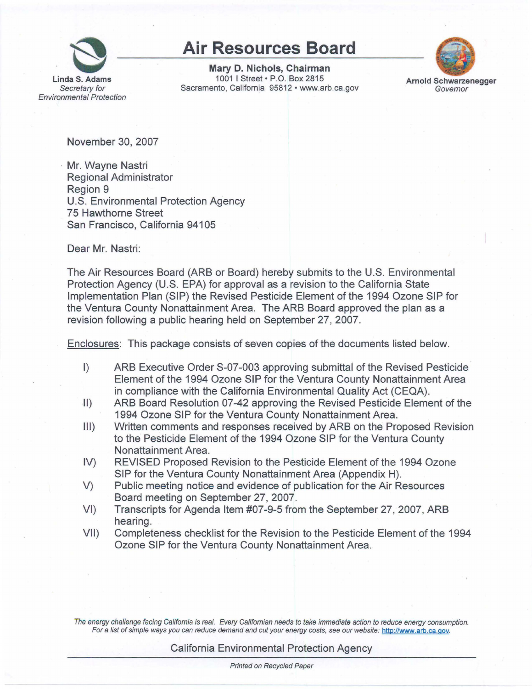

## **Air Resources Board**

**Mary D. Nichols, Chairman**  1001 I Street• P.O. Box 2815 Sacramento, California 95812 • <www.arb.ca.gov>



**Arnold Schwarzenegger**  · Governor

November 30, 2007

Mr. Wayne Nastri Regional Administrator Region 9 U.S. Environmental Protection Agency 75 Hawthorne Street San Francisco, California 94105

Dear Mr. Nastri:

The Air Resources Board (ARB or Board) hereby submits to the U.S. Environmental Protection Agency (U.S. EPA) for approval as a revision to the California State Implementation Plan (SIP) the Revised Pesticide Element of the 1994 Ozone SIP for the Ventura County Nonattainment Area. The ARB Board approved the plan as a revision following a public hearing held on September 27, 2007.

Enclosures: This package consists of seven copies of the documents listed below.

- I) ARB Executive Order S-07-003 approving submittal of the Revised Pesticide Element of the 1994 Ozone SIP for the Ventura County Nonattainment Area in compliance with the California Environmental Quality Act (CEQA).
- 11) ARB Board Resolution 07-42 approving the Revised Pesticide Element of the 1994 Ozone SIP for the Ventura County Nonattainment Area.
- Ill) Written comments and responses received by ARB on the Proposed Revision to the Pesticide Element of the 1994 Ozone SIP for the Ventura County Nonattainment Area.
- IV) REVISED Proposed Revision to the Pesticide Element of the 1994 Ozone SIP for the Ventura County Nonattainment Area (Appendix H).
- V) Public meeting notice and evidence of publication for the Air Resources Board meeting on September 27, 2007.
- VI) Transcripts for Agenda Item #07-9-5 from the September 27, 2007, ARB hearing.
- VII) Completeness checklist for the Revision to the Pesticide Element of the 1994 Ozone SIP for the Ventura County Nonattainment Area.

The energy challenge facing California is real. Every Californian needs to take immediate action to reduce energy consumption. For a list of simple ways you can reduce demand and cut your energy costs, see our website: h[ttp://www.arb.ca.gov.](http:J/www.arb.ca.gov) 

California Environmental Protection Agency